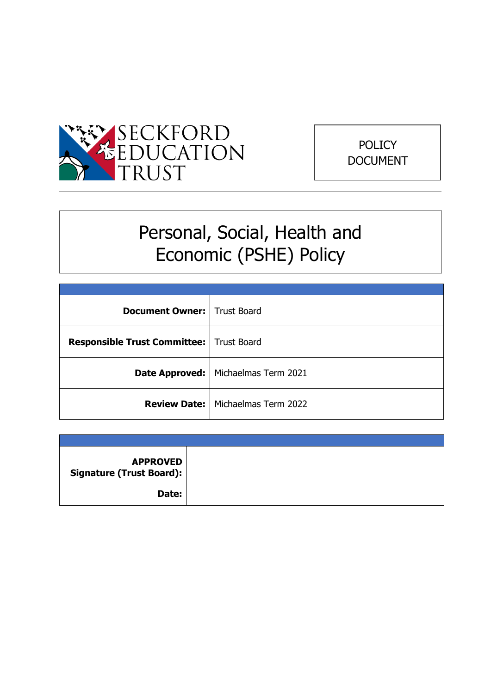



# Personal, Social, Health and Economic (PSHE) Policy

| <b>Document Owner:</b> Trust Board         |                                            |
|--------------------------------------------|--------------------------------------------|
| Responsible Trust Committee:   Trust Board |                                            |
|                                            | Date Approved:   Michaelmas Term 2021      |
|                                            | <b>Review Date:   Michaelmas Term 2022</b> |

| <b>APPROVED</b><br>Signature (Trust Board): |  |
|---------------------------------------------|--|
| Date:                                       |  |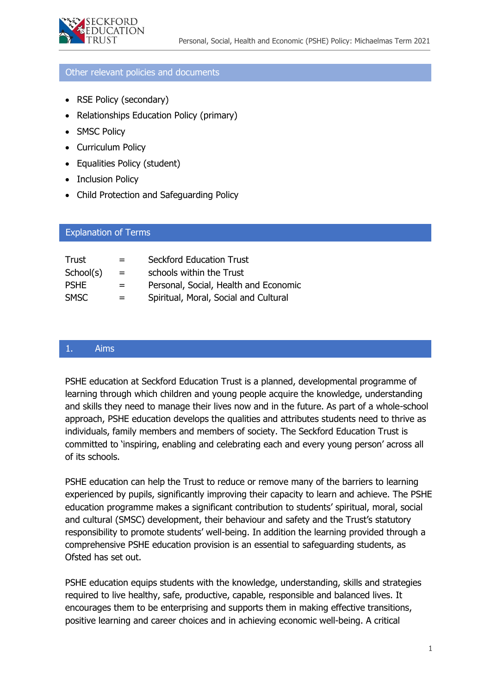# Other relevant policies and documents

- RSE Policy (secondary)
- Relationships Education Policy (primary)
- SMSC Policy
- Curriculum Policy
- Equalities Policy (student)
- Inclusion Policy
- Child Protection and Safeguarding Policy

# Trust = Seckford Education Trust  $School(s) =$  schools within the Trust PSHE = Personal, Social, Health and Economic Explanation of Terms

SMSC = Spiritual, Moral, Social and Cultural

# Othepolicies and documents 1. Aims

PSHE education at Seckford Education Trust is a planned, developmental programme of learning through which children and young people acquire the knowledge, understanding and skills they need to manage their lives now and in the future. As part of a whole-school approach, PSHE education develops the qualities and attributes students need to thrive as individuals, family members and members of society. The Seckford Education Trust is committed to 'inspiring, enabling and celebrating each and every young person' across all of its schools.

PSHE education can help the Trust to reduce or remove many of the barriers to learning experienced by pupils, significantly improving their capacity to learn and achieve. The PSHE education programme makes a significant contribution to students' spiritual, moral, social and cultural (SMSC) development, their behaviour and safety and the Trust's statutory responsibility to promote students' well-being. In addition the learning provided through a comprehensive PSHE education provision is an essential to safeguarding students, as Ofsted has set out.

PSHE education equips students with the knowledge, understanding, skills and strategies required to live healthy, safe, productive, capable, responsible and balanced lives. It encourages them to be enterprising and supports them in making effective transitions, positive learning and career choices and in achieving economic well-being. A critical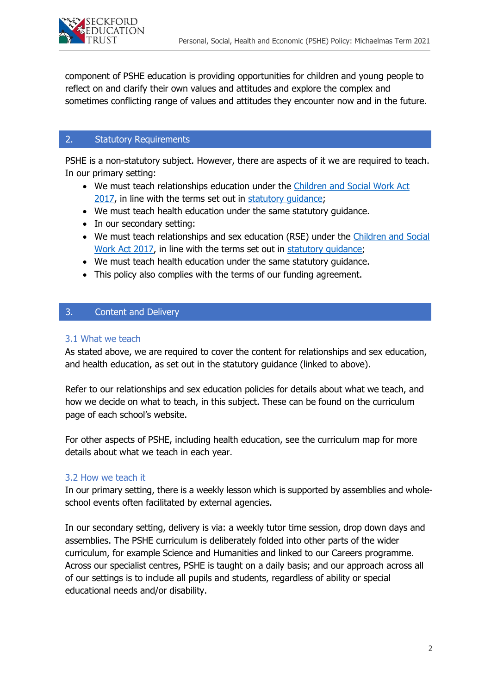

component of PSHE education is providing opportunities for children and young people to reflect on and clarify their own values and attitudes and explore the complex and sometimes conflicting range of values and attitudes they encounter now and in the future.

# 2. Statutory Requirements

PSHE is a non-statutory subject. However, there are aspects of it we are required to teach. In our primary setting:

- We must teach relationships education under the [Children and Social Work Act](http://www.legislation.gov.uk/ukpga/2017/16/section/34/enacted)  [2017,](http://www.legislation.gov.uk/ukpga/2017/16/section/34/enacted) in line with the terms set out in [statutory guidance;](https://www.gov.uk/government/publications/relationships-education-relationships-and-sex-education-rse-and-health-education)
- We must teach health education under the same statutory guidance.
- In our secondary setting:
- We must teach relationships and sex education (RSE) under the Children and Social [Work Act 2017,](http://www.legislation.gov.uk/ukpga/2017/16/section/34/enacted) in line with the terms set out in [statutory guidance;](https://www.gov.uk/government/publications/relationships-education-relationships-and-sex-education-rse-and-health-education)
- We must teach health education under the same statutory guidance.
- This policy also complies with the terms of our funding agreement.

# 3. Content and Delivery

#### 3.1 What we teach

As stated above, we are required to cover the content for relationships and sex education, and health education, as set out in the statutory guidance (linked to above).

Refer to our relationships and sex education policies for details about what we teach, and how we decide on what to teach, in this subject. These can be found on the curriculum page of each school's website.

For other aspects of PSHE, including health education, see the curriculum map for more details about what we teach in each year.

#### 3.2 How we teach it

In our primary setting, there is a weekly lesson which is supported by assemblies and wholeschool events often facilitated by external agencies.

In our secondary setting, delivery is via: a weekly tutor time session, drop down days and assemblies. The PSHE curriculum is deliberately folded into other parts of the wider curriculum, for example Science and Humanities and linked to our Careers programme. Across our specialist centres, PSHE is taught on a daily basis; and our approach across all of our settings is to include all pupils and students, regardless of ability or special educational needs and/or disability.